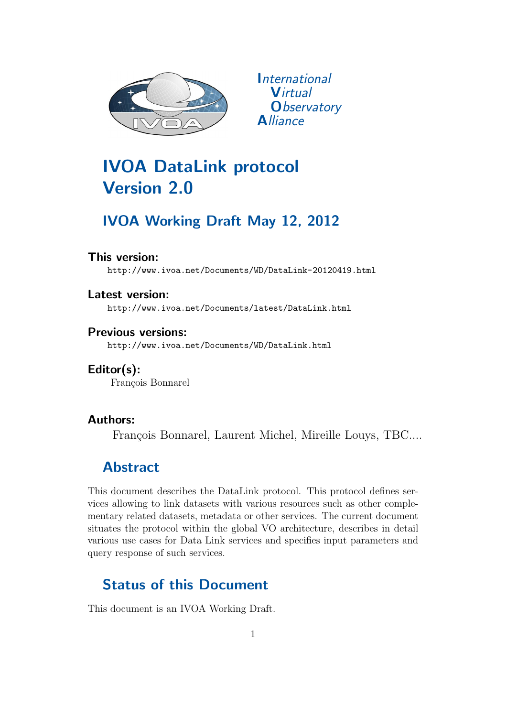

*<u>International</u>* **Virtual O**bservatory **Alliance** 

# IVOA DataLink protocol Version 2.0

## IVOA Working Draft May 12, 2012

#### This version:

http://www.ivoa.net/Documents/WD/DataLink-20120419.html

Latest version: http://www.ivoa.net/Documents/latest/DataLink.html

Previous versions: http://www.ivoa.net/Documents/WD/DataLink.html

Editor(s): François Bonnarel

### Authors:

François Bonnarel, Laurent Michel, Mireille Louys, TBC....

## Abstract

This document describes the DataLink protocol. This protocol defines services allowing to link datasets with various resources such as other complementary related datasets, metadata or other services. The current document situates the protocol within the global VO architecture, describes in detail various use cases for Data Link services and specifies input parameters and query response of such services.

## Status of this Document

This document is an IVOA Working Draft.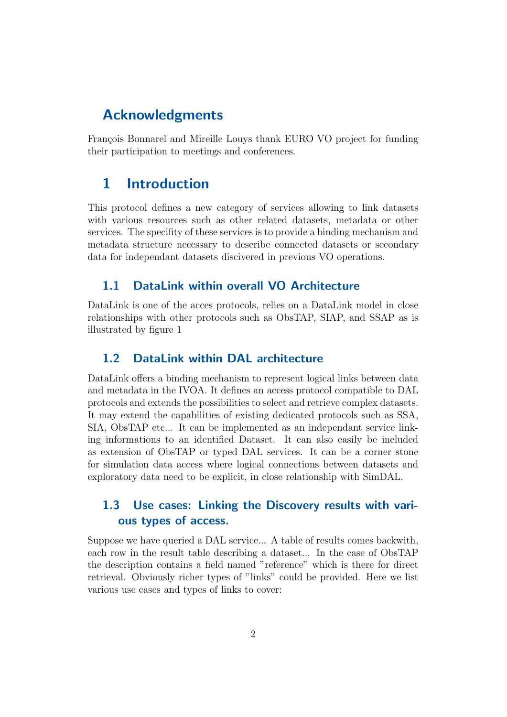## Acknowledgments

François Bonnarel and Mireille Louys thank EURO VO project for funding their participation to meetings and conferences.

## 1 Introduction

This protocol defines a new category of services allowing to link datasets with various resources such as other related datasets, metadata or other services. The specifity of these services is to provide a binding mechanism and metadata structure necessary to describe connected datasets or secondary data for independant datasets discivered in previous VO operations.

#### 1.1 DataLink within overall VO Architecture

DataLink is one of the acces protocols, relies on a DataLink model in close relationships with other protocols such as ObsTAP, SIAP, and SSAP as is illustrated by figure 1

#### 1.2 DataLink within DAL architecture

DataLink offers a binding mechanism to represent logical links between data and metadata in the IVOA. It defines an access protocol compatible to DAL protocols and extends the possibilities to select and retrieve complex datasets. It may extend the capabilities of existing dedicated protocols such as SSA, SIA, ObsTAP etc... It can be implemented as an independant service linking informations to an identified Dataset. It can also easily be included as extension of ObsTAP or typed DAL services. It can be a corner stone for simulation data access where logical connections between datasets and exploratory data need to be explicit, in close relationship with SimDAL.

### 1.3 Use cases: Linking the Discovery results with various types of access.

Suppose we have queried a DAL service... A table of results comes backwith, each row in the result table describing a dataset... In the case of ObsTAP the description contains a field named "reference" which is there for direct retrieval. Obviously richer types of "links" could be provided. Here we list various use cases and types of links to cover: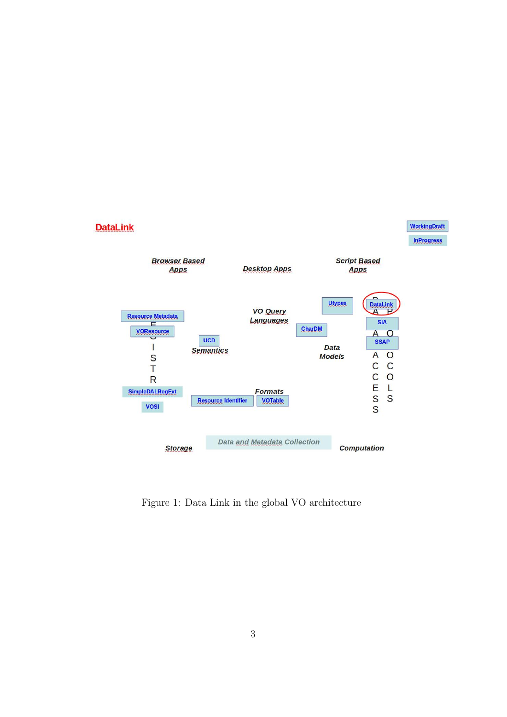

Figure 1: Data Link in the global VO architecture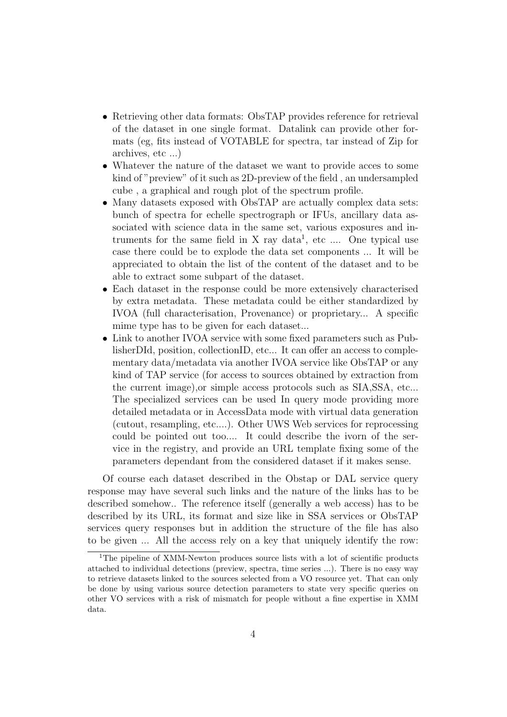- Retrieving other data formats: ObsTAP provides reference for retrieval of the dataset in one single format. Datalink can provide other formats (eg, fits instead of VOTABLE for spectra, tar instead of Zip for archives, etc ...)
- Whatever the nature of the dataset we want to provide acces to some kind of "preview" of it such as 2D-preview of the field , an undersampled cube , a graphical and rough plot of the spectrum profile.
- Many datasets exposed with ObsTAP are actually complex data sets: bunch of spectra for echelle spectrograph or IFUs, ancillary data associated with science data in the same set, various exposures and intruments for the same field in X ray data<sup>1</sup>, etc .... One typical use case there could be to explode the data set components ... It will be appreciated to obtain the list of the content of the dataset and to be able to extract some subpart of the dataset.
- Each dataset in the response could be more extensively characterised by extra metadata. These metadata could be either standardized by IVOA (full characterisation, Provenance) or proprietary... A specific mime type has to be given for each dataset...
- Link to another IVOA service with some fixed parameters such as PublisherDId, position, collectionID, etc... It can offer an access to complementary data/metadata via another IVOA service like ObsTAP or any kind of TAP service (for access to sources obtained by extraction from the current image),or simple access protocols such as SIA,SSA, etc... The specialized services can be used In query mode providing more detailed metadata or in AccessData mode with virtual data generation (cutout, resampling, etc....). Other UWS Web services for reprocessing could be pointed out too.... It could describe the ivorn of the service in the registry, and provide an URL template fixing some of the parameters dependant from the considered dataset if it makes sense.

Of course each dataset described in the Obstap or DAL service query response may have several such links and the nature of the links has to be described somehow.. The reference itself (generally a web access) has to be described by its URL, its format and size like in SSA services or ObsTAP services query responses but in addition the structure of the file has also to be given ... All the access rely on a key that uniquely identify the row:

<sup>&</sup>lt;sup>1</sup>The pipeline of XMM-Newton produces source lists with a lot of scientific products attached to individual detections (preview, spectra, time series ...). There is no easy way to retrieve datasets linked to the sources selected from a VO resource yet. That can only be done by using various source detection parameters to state very specific queries on other VO services with a risk of mismatch for people without a fine expertise in XMM data.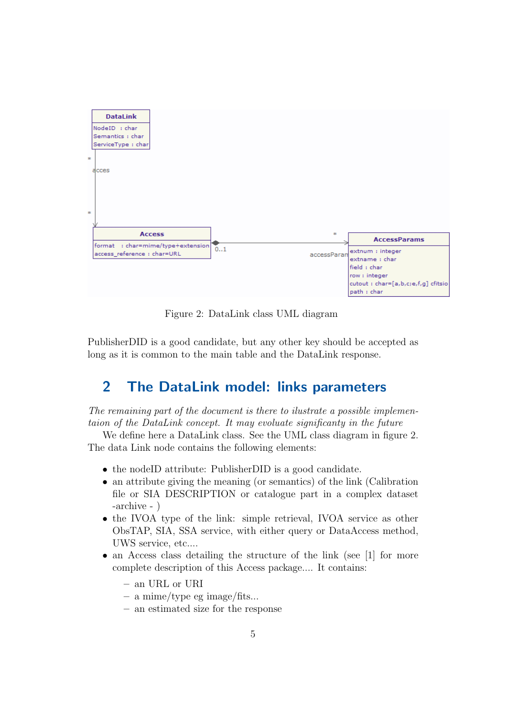

Figure 2: DataLink class UML diagram

PublisherDID is a good candidate, but any other key should be accepted as long as it is common to the main table and the DataLink response.

## 2 The DataLink model: links parameters

The remaining part of the document is there to ilustrate a possible implementaion of the DataLink concept. It may evoluate significanty in the future

We define here a DataLink class. See the UML class diagram in figure 2. The data Link node contains the following elements:

- the nodeID attribute: PublisherDID is a good candidate.
- an attribute giving the meaning (or semantics) of the link (Calibration file or SIA DESCRIPTION or catalogue part in a complex dataset -archive - )
- the IVOA type of the link: simple retrieval, IVOA service as other ObsTAP, SIA, SSA service, with either query or DataAccess method, UWS service, etc....
- an Access class detailing the structure of the link (see [1] for more complete description of this Access package.... It contains:
	- an URL or URI
	- a mime/type eg image/fits...
	- an estimated size for the response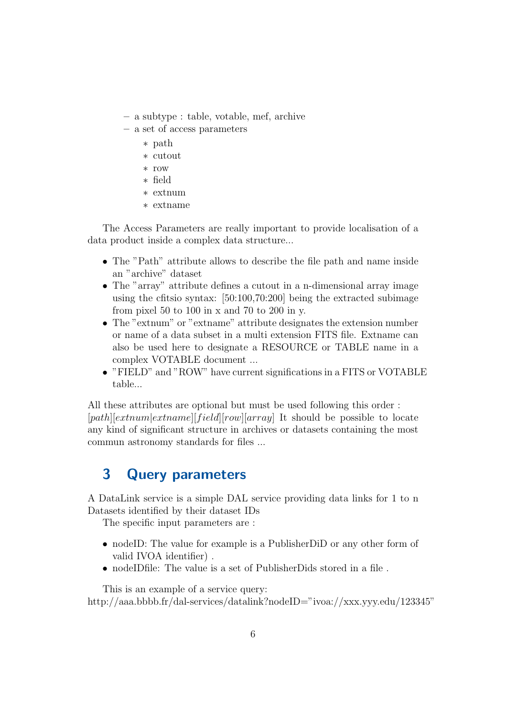- a subtype : table, votable, mef, archive
- a set of access parameters
	- ∗ path
	- ∗ cutout
	- ∗ row
	- ∗ field
	- ∗ extnum
	- ∗ extname

The Access Parameters are really important to provide localisation of a data product inside a complex data structure...

- The "Path" attribute allows to describe the file path and name inside an "archive" dataset
- The "array" attribute defines a cutout in a n-dimensional array image using the cfitsio syntax: [50:100,70:200] being the extracted subimage from pixel 50 to 100 in x and 70 to 200 in y.
- The "extnum" or "extname" attribute designates the extension number or name of a data subset in a multi extension FITS file. Extname can also be used here to designate a RESOURCE or TABLE name in a complex VOTABLE document ...
- "FIELD" and "ROW" have current significations in a FITS or VOTABLE table...

All these attributes are optional but must be used following this order :  $[path][extnum|extname][field][row][array]$  It should be possible to locate any kind of significant structure in archives or datasets containing the most commun astronomy standards for files ...

## 3 Query parameters

A DataLink service is a simple DAL service providing data links for 1 to n Datasets identified by their dataset IDs

The specific input parameters are :

- nodeID: The value for example is a PublisherDiD or any other form of valid IVOA identifier) .
- nodeIDfile: The value is a set of PublisherDids stored in a file.

This is an example of a service query: http://aaa.bbbb.fr/dal-services/datalink?nodeID="ivoa://xxx.yyy.edu/123345"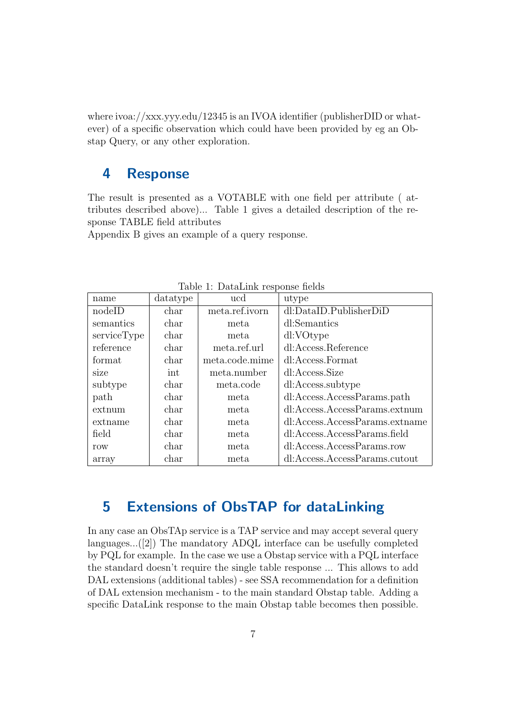where ivoa://xxx.yyy.edu/12345 is an IVOA identifier (publisherDID or whatever) of a specific observation which could have been provided by eg an Obstap Query, or any other exploration.

### 4 Response

The result is presented as a VOTABLE with one field per attribute ( attributes described above)... Table 1 gives a detailed description of the response TABLE field attributes

Appendix B gives an example of a query response.

| rapie r. Datamink response neius |          |                |                                |  |  |  |  |  |  |  |  |
|----------------------------------|----------|----------------|--------------------------------|--|--|--|--|--|--|--|--|
| name                             | datatype | ucd            | utype                          |  |  |  |  |  |  |  |  |
| nodeID                           | char     | meta.ref.ivorn | dl:DataID.PublisherDiD         |  |  |  |  |  |  |  |  |
| semantics                        | char     | meta.          | dl:Semantics                   |  |  |  |  |  |  |  |  |
| serviceType                      | char     | meta.          | dl:VOtype                      |  |  |  |  |  |  |  |  |
| reference                        | char     | meta.ref.url   | dl:Access.Reference            |  |  |  |  |  |  |  |  |
| format                           | char     | meta.code.mime | dl:Access.Format               |  |  |  |  |  |  |  |  |
| size                             | int      | meta.number    | dl:Access.Size                 |  |  |  |  |  |  |  |  |
| subtype                          | char     | meta.code      | dl:Access.subtype              |  |  |  |  |  |  |  |  |
| path                             | char     | meta           | dl:Access.AccessParams.path    |  |  |  |  |  |  |  |  |
| extnum                           | char     | meta           | dl:Access.AccessParams.extnum  |  |  |  |  |  |  |  |  |
| extname                          | char     | meta           | dl:Access.AccessParams.extname |  |  |  |  |  |  |  |  |
| field                            | char     | meta           | dl:Access.AccessParams.field   |  |  |  |  |  |  |  |  |
| row                              | char     | meta           | dl:Access.AccessParams.row     |  |  |  |  |  |  |  |  |
| array                            | char     | meta           | dl:Access.AccessParams.cutout  |  |  |  |  |  |  |  |  |

Table 1: DataLink response fields

### 5 Extensions of ObsTAP for dataLinking

In any case an ObsTAp service is a TAP service and may accept several query languages...([2]) The mandatory ADQL interface can be usefully completed by PQL for example. In the case we use a Obstap service with a PQL interface the standard doesn't require the single table response ... This allows to add DAL extensions (additional tables) - see SSA recommendation for a definition of DAL extension mechanism - to the main standard Obstap table. Adding a specific DataLink response to the main Obstap table becomes then possible.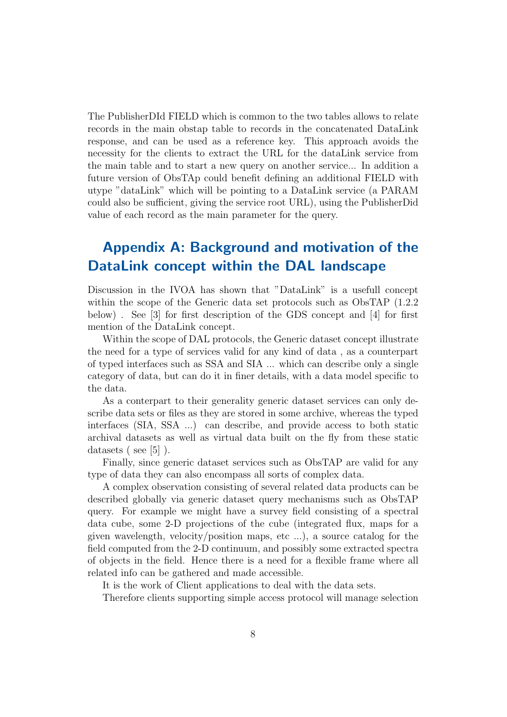The PublisherDId FIELD which is common to the two tables allows to relate records in the main obstap table to records in the concatenated DataLink response, and can be used as a reference key. This approach avoids the necessity for the clients to extract the URL for the dataLink service from the main table and to start a new query on another service... In addition a future version of ObsTAp could benefit defining an additional FIELD with utype "dataLink" which will be pointing to a DataLink service (a PARAM could also be sufficient, giving the service root URL), using the PublisherDid value of each record as the main parameter for the query.

## Appendix A: Background and motivation of the DataLink concept within the DAL landscape

Discussion in the IVOA has shown that "DataLink" is a usefull concept within the scope of the Generic data set protocols such as ObsTAP (1.2.2 below) . See [3] for first description of the GDS concept and [4] for first mention of the DataLink concept.

Within the scope of DAL protocols, the Generic dataset concept illustrate the need for a type of services valid for any kind of data , as a counterpart of typed interfaces such as SSA and SIA ... which can describe only a single category of data, but can do it in finer details, with a data model specific to the data.

As a conterpart to their generality generic dataset services can only describe data sets or files as they are stored in some archive, whereas the typed interfaces (SIA, SSA ...) can describe, and provide access to both static archival datasets as well as virtual data built on the fly from these static datasets ( see [5] ).

Finally, since generic dataset services such as ObsTAP are valid for any type of data they can also encompass all sorts of complex data.

A complex observation consisting of several related data products can be described globally via generic dataset query mechanisms such as ObsTAP query. For example we might have a survey field consisting of a spectral data cube, some 2-D projections of the cube (integrated flux, maps for a given wavelength, velocity/position maps, etc ...), a source catalog for the field computed from the 2-D continuum, and possibly some extracted spectra of objects in the field. Hence there is a need for a flexible frame where all related info can be gathered and made accessible.

It is the work of Client applications to deal with the data sets.

Therefore clients supporting simple access protocol will manage selection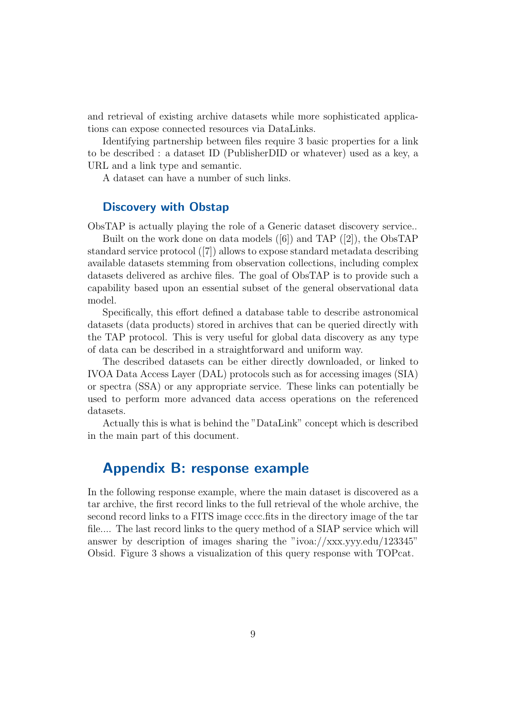and retrieval of existing archive datasets while more sophisticated applications can expose connected resources via DataLinks.

Identifying partnership between files require 3 basic properties for a link to be described : a dataset ID (PublisherDID or whatever) used as a key, a URL and a link type and semantic.

A dataset can have a number of such links.

#### Discovery with Obstap

ObsTAP is actually playing the role of a Generic dataset discovery service..

Built on the work done on data models ([6]) and TAP ([2]), the ObsTAP standard service protocol ([7]) allows to expose standard metadata describing available datasets stemming from observation collections, including complex datasets delivered as archive files. The goal of ObsTAP is to provide such a capability based upon an essential subset of the general observational data model.

Specifically, this effort defined a database table to describe astronomical datasets (data products) stored in archives that can be queried directly with the TAP protocol. This is very useful for global data discovery as any type of data can be described in a straightforward and uniform way.

The described datasets can be either directly downloaded, or linked to IVOA Data Access Layer (DAL) protocols such as for accessing images (SIA) or spectra (SSA) or any appropriate service. These links can potentially be used to perform more advanced data access operations on the referenced datasets.

Actually this is what is behind the "DataLink" concept which is described in the main part of this document.

### Appendix B: response example

In the following response example, where the main dataset is discovered as a tar archive, the first record links to the full retrieval of the whole archive, the second record links to a FITS image cccc.fits in the directory image of the tar file.... The last record links to the query method of a SIAP service which will answer by description of images sharing the "ivoa://xxx.yyy.edu/123345" Obsid. Figure 3 shows a visualization of this query response with TOPcat.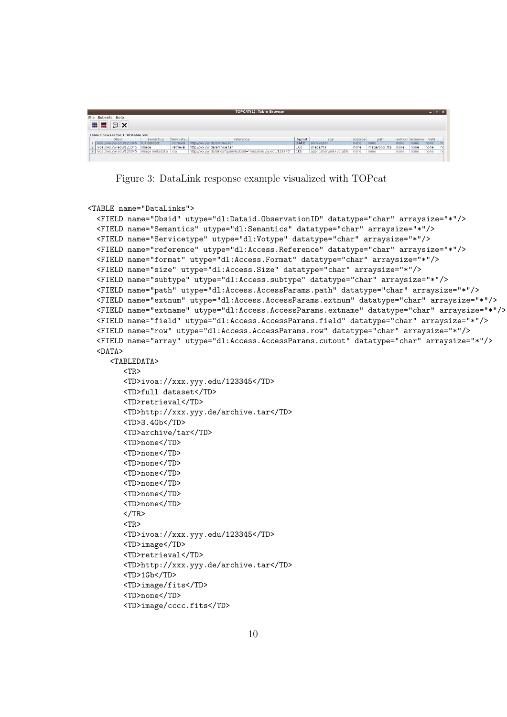|                     | <b>TOPCAT(1): Table Browser</b>  |                      |           |                                                                 |                   |                              |         |                 |      |                |       | $ \bullet$ $\mathbf{x}$ |  |  |  |
|---------------------|----------------------------------|----------------------|-----------|-----------------------------------------------------------------|-------------------|------------------------------|---------|-----------------|------|----------------|-------|-------------------------|--|--|--|
|                     | <b>File Subsets Help</b>         |                      |           |                                                                 |                   |                              |         |                 |      |                |       |                         |  |  |  |
| 曲黒<br>$\boxed{2}$ X |                                  |                      |           |                                                                 |                   |                              |         |                 |      |                |       |                         |  |  |  |
|                     | Table Browser for 1: VOtable.xml |                      |           |                                                                 |                   |                              |         |                 |      |                |       |                         |  |  |  |
|                     | Obsid                            | <b>Semantics</b>     | Servicety | reference                                                       | format            | size                         | subtype | path            |      | extnum extname | field |                         |  |  |  |
|                     | 1   ivoa://xxx.yyy.edu/123345    | full dataset         | retrieval | http://xxx.yyy.de/archive.tar                                   | 3.45 <sub>b</sub> | archive/tar                  | none    | none            | none | none           | none  |                         |  |  |  |
|                     | 2 ivoa://xxx.yyy.edu/123345      | image                | retrieval | http://xxx.yyv.de/archive.tar                                   | 1 <sub>6b</sub>   | image/fits                   | none    | image/cccc.fits | none | none           | none  |                         |  |  |  |
|                     | 3   ivoa://xxx.yyy.edu/123345    | image metadata i sia |           | http://xxx.yyy.de/sinea?query&obsid="ivoa://xxx.yyy.edu/123345" | 1 <sub>kb</sub>   | application/xml+votable none |         | none            | none | none           | none  | nd                      |  |  |  |
|                     |                                  |                      |           |                                                                 |                   |                              |         |                 |      |                |       |                         |  |  |  |

Figure 3: DataLink response example visualized with TOPcat

```
<TABLE name="DataLinks">
  <FIELD name="Obsid" utype="dl:Dataid.ObservationID" datatype="char" arraysize="*"/>
  <FIELD name="Semantics" utype="dl:Semantics" datatype="char" arraysize="*"/>
  <FIELD name="Servicetype" utype="dl:Votype" datatype="char" arraysize="*"/>
  <FIELD name="reference" utype="dl:Access.Reference" datatype="char" arraysize="*"/>
  <FIELD name="format" utype="dl:Access.Format" datatype="char" arraysize="*"/>
  <FIELD name="size" utype="dl:Access.Size" datatype="char" arraysize="*"/>
  <FIELD name="subtype" utype="dl:Access.subtype" datatype="char" arraysize="*"/>
  <FIELD name="path" utype="dl:Access.AccessParams.path" datatype="char" arraysize="*"/>
  <FIELD name="extnum" utype="dl:Access.AccessParams.extnum" datatype="char" arraysize="*"/>
  <FIELD name="extname" utype="dl:Access.AccessParams.extname" datatype="char" arraysize="*"/>
  <FIELD name="field" utype="dl:Access.AccessParams.field" datatype="char" arraysize="*"/>
  <FIELD name="row" utype="dl:Access.AccessParams.row" datatype="char" arraysize="*"/>
  <FIELD name="array" utype="dl:Access.AccessParams.cutout" datatype="char" arraysize="*"/>
  <DATA>
     <TABLEDATA>
        <TR>
        <TD>ivoa://xxx.yyy.edu/123345</TD>
        <TD>full dataset</TD>
        <TD>retrieval</TD>
        <TD>http://xxx.yyy.de/archive.tar</TD>
        <TD>3.4Gb</TD>
        <TD>archive/tar</TD>
        <TD>none</TD>
        <TD>none</TD>
        <TD>none</TD>
        <TD>none</TD>
        <TD>none</TD>
        <TD>none</TD>
        <TD>none</TD>
        </TR><TR>
        <TD>ivoa://xxx.yyy.edu/123345</TD>
        <TD>image</TD>
        <TD>retrieval</TD>
        <TD>http://xxx.yyy.de/archive.tar</TD>
        <TD>1Gb</TD>
        <TD>image/fits</TD>
        <TD>none</TD>
        <TD>image/cccc.fits</TD>
```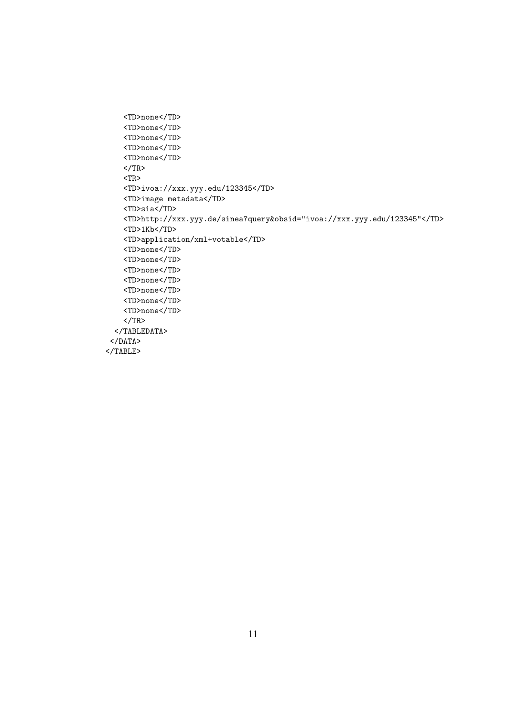```
<TD>none</TD>
    <TD>none</TD>
    <TD>none</TD>
    <TD>none</TD>
    <TD>none</TD>
    </TR>
    <TR>
    <TD>ivoa://xxx.yyy.edu/123345</TD>
    <TD>image metadata</TD>
    <TD>sia</TD>
    <TD>http://xxx.yyy.de/sinea?query&obsid="ivoa://xxx.yyy.edu/123345"</TD>
    <TD>1Kb</TD>
    <TD>application/xml+votable</TD>
    <TD>none</TD>
    <TD>none</TD>
    <TD>none</TD>
    <TD>none</TD>
    <TD>none</TD>
    <TD>none</TD>
    <TD>none</TD>
    \rm < /TR> \rm</TABLEDATA>
 </DATA>
</TABLE>
```